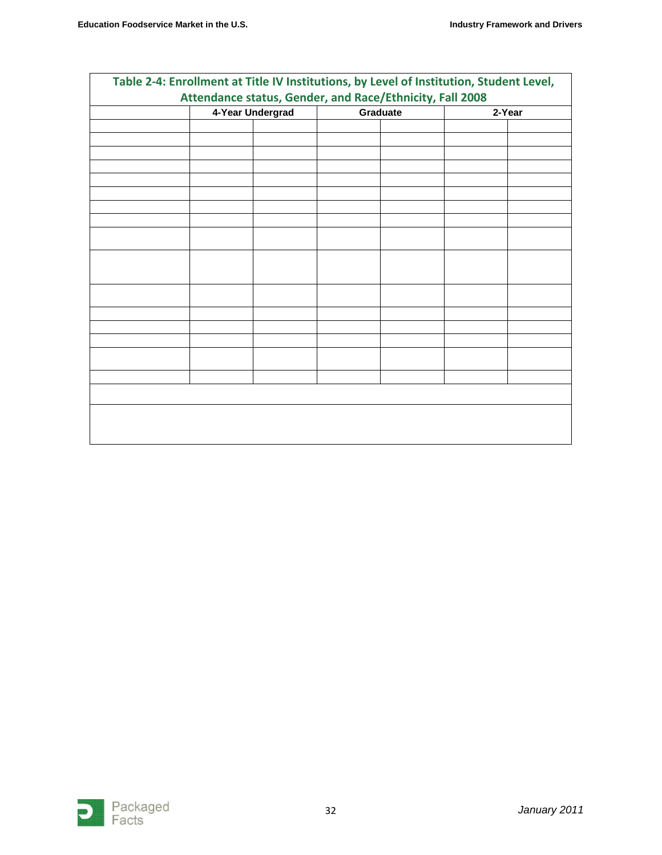| Attendance status, Gender, and Race/Ethnicity, Fall 2008 |                  |          |        |
|----------------------------------------------------------|------------------|----------|--------|
|                                                          | 4-Year Undergrad | Graduate | 2-Year |
|                                                          |                  |          |        |
|                                                          |                  |          |        |
|                                                          |                  |          |        |
|                                                          |                  |          |        |
|                                                          |                  |          |        |
|                                                          |                  |          |        |
|                                                          |                  |          |        |
|                                                          |                  |          |        |
|                                                          |                  |          |        |
|                                                          |                  |          |        |
|                                                          |                  |          |        |
|                                                          |                  |          |        |
|                                                          |                  |          |        |
|                                                          |                  |          |        |
|                                                          |                  |          |        |
|                                                          |                  |          |        |
|                                                          |                  |          |        |
|                                                          |                  |          |        |
|                                                          |                  |          |        |
|                                                          |                  |          |        |
|                                                          |                  |          |        |
|                                                          |                  |          |        |
|                                                          |                  |          |        |
|                                                          |                  |          |        |